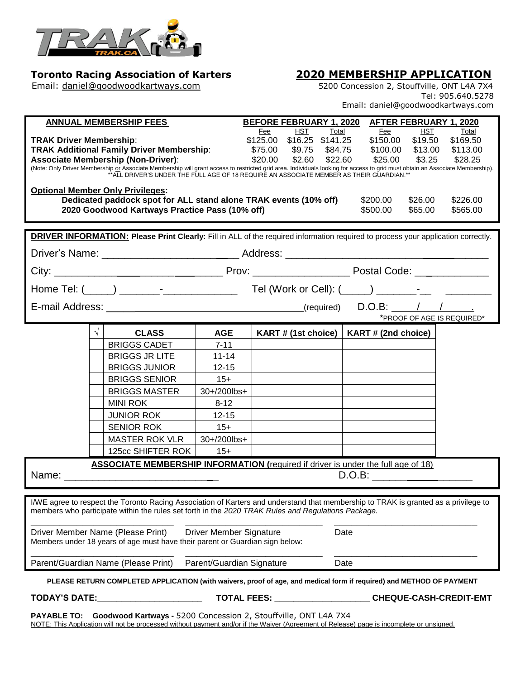

# **Toronto Racing Association of Karters <br>
Email: <u>daniel@goodwoodkartways.com</u> <b>1998** 5200 Concession 2, Stouffville, ONT L4A 7X4

5200 Concession 2, Stouffville, ONT L4A 7X4 Tel: 905.640.5278 Email: daniel@goodwoodkartways.com 

| <b>ANNUAL MEMBERSHIP FEES</b>                                                                                                                                                                                                                                                                                                                                                                                                                                                                                                                                                                                                                                                                                                                                                                                          |                                                |             | <b>BEFORE FEBRUARY 1, 2020</b><br>AFTER FEBRUARY 1, 2020 |  |                     |         |          |
|------------------------------------------------------------------------------------------------------------------------------------------------------------------------------------------------------------------------------------------------------------------------------------------------------------------------------------------------------------------------------------------------------------------------------------------------------------------------------------------------------------------------------------------------------------------------------------------------------------------------------------------------------------------------------------------------------------------------------------------------------------------------------------------------------------------------|------------------------------------------------|-------------|----------------------------------------------------------|--|---------------------|---------|----------|
| <b>HST</b><br>HST<br>Total<br>Total<br>Fee<br>Fee<br>\$150.00<br>\$125.00 \$16.25 \$141.25<br>\$19.50<br>\$169.50<br><b>TRAK Driver Membership:</b><br><b>TRAK Additional Family Driver Membership:</b><br>\$13.00<br>\$75.00<br>\$9.75<br>\$84.75<br>\$100.00<br>\$113.00<br><b>Associate Membership (Non-Driver):</b><br>\$20.00<br>\$2.60<br>\$22.60<br>\$25.00<br>\$28.25<br>\$3.25<br>(Note: Only Driver Membership or Associate Membership will grant access to restricted grid area. Individuals looking for access to grid must obtain an Associate Membership).<br>**ALL DRIVER'S UNDER THE FULL AGE OF 18 REQUIRE AN ASSOCIATE MEMBER AS THEIR GUARDIAN.**<br><b>Optional Member Only Privileges:</b><br>Dedicated paddock spot for ALL stand alone TRAK events (10% off)<br>\$200.00<br>\$26.00<br>\$226.00 |                                                |             |                                                          |  |                     |         |          |
|                                                                                                                                                                                                                                                                                                                                                                                                                                                                                                                                                                                                                                                                                                                                                                                                                        | 2020 Goodwood Kartways Practice Pass (10% off) |             |                                                          |  | \$500.00            | \$65.00 | \$565.00 |
| <b>DRIVER INFORMATION:</b> Please Print Clearly: Fill in ALL of the required information required to process your application correctly.                                                                                                                                                                                                                                                                                                                                                                                                                                                                                                                                                                                                                                                                               |                                                |             |                                                          |  |                     |         |          |
| Driver's Name: _____________________________Address: ___________________________                                                                                                                                                                                                                                                                                                                                                                                                                                                                                                                                                                                                                                                                                                                                       |                                                |             |                                                          |  |                     |         |          |
|                                                                                                                                                                                                                                                                                                                                                                                                                                                                                                                                                                                                                                                                                                                                                                                                                        |                                                |             |                                                          |  |                     |         |          |
|                                                                                                                                                                                                                                                                                                                                                                                                                                                                                                                                                                                                                                                                                                                                                                                                                        |                                                |             |                                                          |  |                     |         |          |
|                                                                                                                                                                                                                                                                                                                                                                                                                                                                                                                                                                                                                                                                                                                                                                                                                        |                                                |             |                                                          |  |                     |         |          |
| *PROOF OF AGE IS REQUIRED*                                                                                                                                                                                                                                                                                                                                                                                                                                                                                                                                                                                                                                                                                                                                                                                             |                                                |             |                                                          |  |                     |         |          |
|                                                                                                                                                                                                                                                                                                                                                                                                                                                                                                                                                                                                                                                                                                                                                                                                                        | $\sqrt{ }$<br><b>CLASS</b>                     | <b>AGE</b>  | KART# (1st choice) $ $                                   |  | KART # (2nd choice) |         |          |
|                                                                                                                                                                                                                                                                                                                                                                                                                                                                                                                                                                                                                                                                                                                                                                                                                        | <b>BRIGGS CADET</b>                            | $7 - 11$    |                                                          |  |                     |         |          |
|                                                                                                                                                                                                                                                                                                                                                                                                                                                                                                                                                                                                                                                                                                                                                                                                                        | <b>BRIGGS JR LITE</b>                          | $11 - 14$   |                                                          |  |                     |         |          |
|                                                                                                                                                                                                                                                                                                                                                                                                                                                                                                                                                                                                                                                                                                                                                                                                                        | <b>BRIGGS JUNIOR</b>                           | $12 - 15$   |                                                          |  |                     |         |          |
|                                                                                                                                                                                                                                                                                                                                                                                                                                                                                                                                                                                                                                                                                                                                                                                                                        | <b>BRIGGS SENIOR</b>                           | $15+$       |                                                          |  |                     |         |          |
|                                                                                                                                                                                                                                                                                                                                                                                                                                                                                                                                                                                                                                                                                                                                                                                                                        | <b>BRIGGS MASTER</b>                           | 30+/200lbs+ |                                                          |  |                     |         |          |
|                                                                                                                                                                                                                                                                                                                                                                                                                                                                                                                                                                                                                                                                                                                                                                                                                        | MINI ROK                                       | $8 - 12$    |                                                          |  |                     |         |          |
|                                                                                                                                                                                                                                                                                                                                                                                                                                                                                                                                                                                                                                                                                                                                                                                                                        | <b>JUNIOR ROK</b>                              | $12 - 15$   |                                                          |  |                     |         |          |
|                                                                                                                                                                                                                                                                                                                                                                                                                                                                                                                                                                                                                                                                                                                                                                                                                        | <b>SENIOR ROK</b>                              | $15+$       |                                                          |  |                     |         |          |
|                                                                                                                                                                                                                                                                                                                                                                                                                                                                                                                                                                                                                                                                                                                                                                                                                        | <b>MASTER ROK VLR</b>                          | 30+/200lbs+ |                                                          |  |                     |         |          |
|                                                                                                                                                                                                                                                                                                                                                                                                                                                                                                                                                                                                                                                                                                                                                                                                                        | 125cc SHIFTER ROK                              | $15+$       |                                                          |  |                     |         |          |
| <b>ASSOCIATE MEMBERSHIP INFORMATION (required if driver is under the full age of 18)</b><br>D.O.B:                                                                                                                                                                                                                                                                                                                                                                                                                                                                                                                                                                                                                                                                                                                     |                                                |             |                                                          |  |                     |         |          |
| I/WE agree to respect the Toronto Racing Association of Karters and understand that membership to TRAK is granted as a privilege to                                                                                                                                                                                                                                                                                                                                                                                                                                                                                                                                                                                                                                                                                    |                                                |             |                                                          |  |                     |         |          |
| members who participate within the rules set forth in the 2020 TRAK Rules and Regulations Package.                                                                                                                                                                                                                                                                                                                                                                                                                                                                                                                                                                                                                                                                                                                     |                                                |             |                                                          |  |                     |         |          |
| Driver Member Name (Please Print)<br><b>Driver Member Signature</b><br>Date<br>Members under 18 years of age must have their parent or Guardian sign below:                                                                                                                                                                                                                                                                                                                                                                                                                                                                                                                                                                                                                                                            |                                                |             |                                                          |  |                     |         |          |
| Parent/Guardian Name (Please Print)<br>Parent/Guardian Signature                                                                                                                                                                                                                                                                                                                                                                                                                                                                                                                                                                                                                                                                                                                                                       |                                                |             | Date                                                     |  |                     |         |          |
| PLEASE RETURN COMPLETED APPLICATION (with waivers, proof of age, and medical form if required) and METHOD OF PAYMENT                                                                                                                                                                                                                                                                                                                                                                                                                                                                                                                                                                                                                                                                                                   |                                                |             |                                                          |  |                     |         |          |
| TOTAL FEES: _____________________CHEQUE-CASH-CREDIT-EMT<br>TODAY'S DATE:                                                                                                                                                                                                                                                                                                                                                                                                                                                                                                                                                                                                                                                                                                                                               |                                                |             |                                                          |  |                     |         |          |
| Goodwood Kartways - 5200 Concession 2, Stouffville, ONT L4A 7X4<br><b>PAYABLE TO:</b><br>NOTE: This Application will not be processed without payment and/or if the Waiver (Agreement of Release) page is incomplete or unsigned.                                                                                                                                                                                                                                                                                                                                                                                                                                                                                                                                                                                      |                                                |             |                                                          |  |                     |         |          |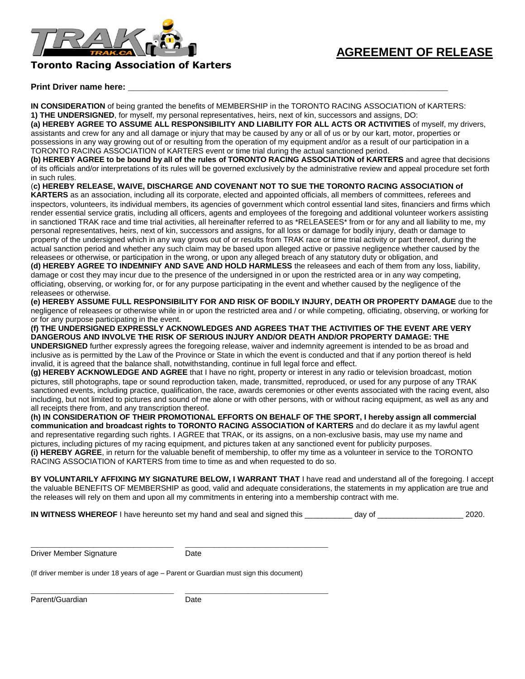

## **Toronto Racing Association of Karters**

## **Print Driver name here: \_\_\_\_\_\_\_\_\_\_\_\_\_\_\_\_\_\_\_\_\_\_\_\_\_\_\_\_\_\_\_\_\_\_\_\_\_\_\_\_\_\_\_\_\_\_\_\_\_\_\_\_\_\_\_\_**

**IN CONSIDERATION** of being granted the benefits of MEMBERSHIP in the TORONTO RACING ASSOCIATION of KARTERS: **1) THE UNDERSIGNED**, for myself, my personal representatives, heirs, next of kin, successors and assigns, DO:

**(a) HEREBY AGREE TO ASSUME ALL RESPONSIBILITY AND LIABILITY FOR ALL ACTS OR ACTIVITIES** of myself, my drivers, assistants and crew for any and all damage or injury that may be caused by any or all of us or by our kart, motor, properties or possessions in any way growing out of or resulting from the operation of my equipment and/or as a result of our participation in a TORONTO RACING ASSOCIATION of KARTERS event or time trial during the actual sanctioned period.

**(b) HEREBY AGREE to be bound by all of the rules of TORONTO RACING ASSOCIATION of KARTERS** and agree that decisions of its officials and/or interpretations of its rules will be governed exclusively by the administrative review and appeal procedure set forth in such rules.

(**c) HEREBY RELEASE, WAIVE, DISCHARGE AND COVENANT NOT TO SUE THE TORONTO RACING ASSOCIATION of** 

**KARTERS** as an association, including all its corporate, elected and appointed officials, all members of committees, referees and inspectors, volunteers, its individual members, its agencies of government which control essential land sites, financiers and firms which render essential service gratis, including all officers, agents and employees of the foregoing and additional volunteer workers assisting in sanctioned TRAK race and time trial activities, all hereinafter referred to as \*RELEASEES\* from or for any and all liability to me, my personal representatives, heirs, next of kin, successors and assigns, for all loss or damage for bodily injury, death or damage to property of the undersigned which in any way grows out of or results from TRAK race or time trial activity or part thereof, during the actual sanction period and whether any such claim may be based upon alleged active or passive negligence whether caused by the releasees or otherwise, or participation in the wrong, or upon any alleged breach of any statutory duty or obligation, and **(d) HEREBY AGREE TO INDEMNIFY AND SAVE AND HOLD HARMLESS** the releasees and each of them from any loss, liability,

damage or cost they may incur due to the presence of the undersigned in or upon the restricted area or in any way competing, officiating, observing, or working for, or for any purpose participating in the event and whether caused by the negligence of the releasees or otherwise.

**(e) HEREBY ASSUME FULL RESPONSIBILITY FOR AND RISK OF BODILY INJURY, DEATH OR PROPERTY DAMAGE** due to the negligence of releasees or otherwise while in or upon the restricted area and / or while competing, officiating, observing, or working for or for any purpose participating in the event.

**(f) THE UNDERSIGNED EXPRESSLY ACKNOWLEDGES AND AGREES THAT THE ACTIVITIES OF THE EVENT ARE VERY DANGEROUS AND INVOLVE THE RISK OF SERIOUS INJURY AND/OR DEATH AND/OR PROPERTY DAMAGE: THE** 

**UNDERSIGNED** further expressly agrees the foregoing release, waiver and indemnity agreement is intended to be as broad and inclusive as is permitted by the Law of the Province or State in which the event is conducted and that if any portion thereof is held invalid, it is agreed that the balance shall, notwithstanding, continue in full legal force and effect.

**(g) HEREBY ACKNOWLEDGE AND AGREE** that I have no right, property or interest in any radio or television broadcast, motion pictures, still photographs, tape or sound reproduction taken, made, transmitted, reproduced, or used for any purpose of any TRAK sanctioned events, including practice, qualification, the race, awards ceremonies or other events associated with the racing event, also including, but not limited to pictures and sound of me alone or with other persons, with or without racing equipment, as well as any and all receipts there from, and any transcription thereof.

**(h) IN CONSIDERATION OF THEIR PROMOTIONAL EFFORTS ON BEHALF OF THE SPORT, I hereby assign all commercial communication and broadcast rights to TORONTO RACING ASSOCIATION of KARTERS** and do declare it as my lawful agent and representative regarding such rights. I AGREE that TRAK, or its assigns, on a non-exclusive basis, may use my name and pictures, including pictures of my racing equipment, and pictures taken at any sanctioned event for publicity purposes. **(i) HEREBY AGREE**, in return for the valuable benefit of membership, to offer my time as a volunteer in service to the TORONTO RACING ASSOCIATION of KARTERS from time to time as and when requested to do so.

**BY VOLUNTARILY AFFIXING MY SIGNATURE BELOW, I WARRANT THAT** I have read and understand all of the foregoing. I accept the valuable BENEFITS OF MEMBERSHIP as good, valid and adequate considerations, the statements in my application are true and the releases will rely on them and upon all my commitments in entering into a membership contract with me.

**IN WITNESS WHEREOF** I have hereunto set my hand and seal and signed this \_\_\_\_\_\_\_\_\_\_\_ day of \_\_\_\_\_\_\_\_\_\_\_\_\_\_\_\_\_\_\_\_ 2020.

Driver Member Signature **Date** 

**\_\_\_\_\_\_\_\_\_\_\_\_\_\_\_\_\_\_\_\_\_\_\_\_\_ \_\_\_\_\_\_\_\_\_\_\_\_\_\_\_\_\_\_\_\_\_\_\_\_\_**

**\_\_\_\_\_\_\_\_\_\_\_\_\_\_\_\_\_\_\_\_\_\_\_\_\_ \_\_\_\_\_\_\_\_\_\_\_\_\_\_\_\_\_\_\_\_\_\_\_\_\_**

(If driver member is under 18 years of age – Parent or Guardian must sign this document)

Parent/Guardian Date